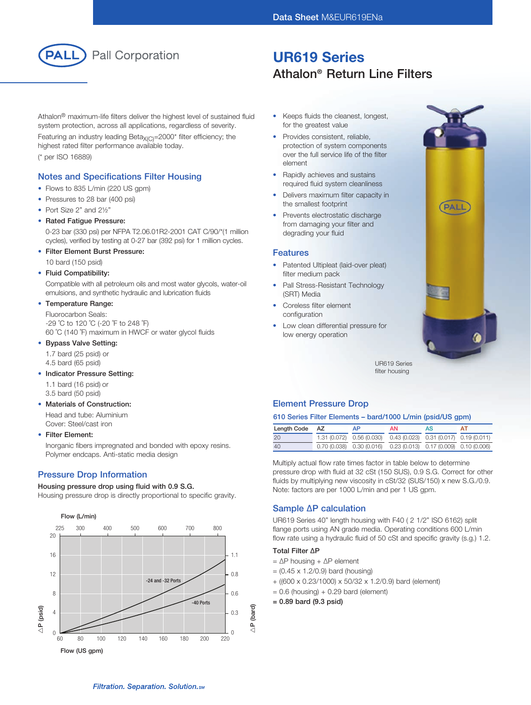

# UR619 Series Athalon® Return Line Filters

Athalon® maximum-life filters deliver the highest level of sustained fluid system protection, across all applications, regardless of severity.

Featuring an industry leading Beta $X_{(C)}$ =2000\* filter efficiency; the highest rated filter performance available today. (\* per ISO 16889)

## Notes and Specifications Filter Housing

- Flows to 835 L/min (220 US gpm)
- Pressures to 28 bar (400 psi)
- Port Size 2" and 21/2"
- Rated Fatigue Pressure:

 0-23 bar (330 psi) per NFPA T2.06.01R2-2001 CAT C/90/\*(1 million cycles), verified by testing at 0-27 bar (392 psi) for 1 million cycles.

• Filter Element Burst Pressure:

10 bard (150 psid)

### • Fluid Compatibility:

 Compatible with all petroleum oils and most water glycols, water-oil emulsions, and synthetic hydraulic and lubrication fluids

## • Temperature Range:

 Fluorocarbon Seals: -29 ˚C to 120 ˚C (-20 ˚F to 248 ˚F) 60 ˚C (140 ˚F) maximum in HWCF or water glycol fluids

### • Bypass Valve Setting:

1.7 bard (25 psid) or

4.5 bard (65 psid)

## • Indicator Pressure Setting:

1.1 bard (16 psid) or

3.5 bard (50 psid)

### • Materials of Construction:

 Head and tube: Aluminium Cover: Steel/cast iron

### • Filter Element:

 Inorganic fibers impregnated and bonded with epoxy resins. Polymer endcaps. Anti-static media design

# Pressure Drop Information

### Housing pressure drop using fluid with 0.9 S.G.

Housing pressure drop is directly proportional to specific gravity.



- Keeps fluids the cleanest, longest, for the greatest value
- Provides consistent, reliable, protection of system components over the full service life of the filter element
- Rapidly achieves and sustains required fluid system cleanliness
- Delivers maximum filter capacity in the smallest footprint
- Prevents electrostatic discharge from damaging your filter and degrading your fluid

### Features

- Patented Ultipleat (laid-over pleat) filter medium pack
- Pall Stress-Resistant Technology (SRT) Media
- Coreless filter element configuration
- Low clean differential pressure for low energy operation



UR619 Series filter housing

# Element Pressure Drop

## 610 Series Filter Elements – bard/1000 L/min (psid/US gpm)

| Length Code | AZ | ΔP                                                                    | AN. | AS | ΔT |
|-------------|----|-----------------------------------------------------------------------|-----|----|----|
| 20          |    | 1.31 (0.072) 0.56 (0.030) 0.43 (0.023) 0.31 (0.017) 0.19 (0.011)      |     |    |    |
| 40          |    | $0.70(0.038)$ $0.30(0.016)$ $0.23(0.013)$ $0.17(0.009)$ $0.10(0.006)$ |     |    |    |

Multiply actual flow rate times factor in table below to determine pressure drop with fluid at 32 cSt (150 SUS), 0.9 S.G. Correct for other fluids by multiplying new viscosity in cSt/32 (SUS/150) x new S.G./0.9. Note: factors are per 1000 L/min and per 1 US gpm.

# Sample ∆P calculation

UR619 Series 40" length housing with F40 ( 2 1/2" ISO 6162) split flange ports using AN grade media. Operating conditions 600 L/min flow rate using a hydraulic fluid of 50 cSt and specific gravity (s.g.) 1.2.

### Total Filter ∆P

- = ∆P housing + ∆P element
- $= (0.45 \times 1.2/0.9)$  bard (housing)
- + ((600 x 0.23/1000) x 50/32 x 1.2/0.9) bard (element)
- $= 0.6$  (housing) + 0.29 bard (element)
- = 0.89 bard (9.3 psid)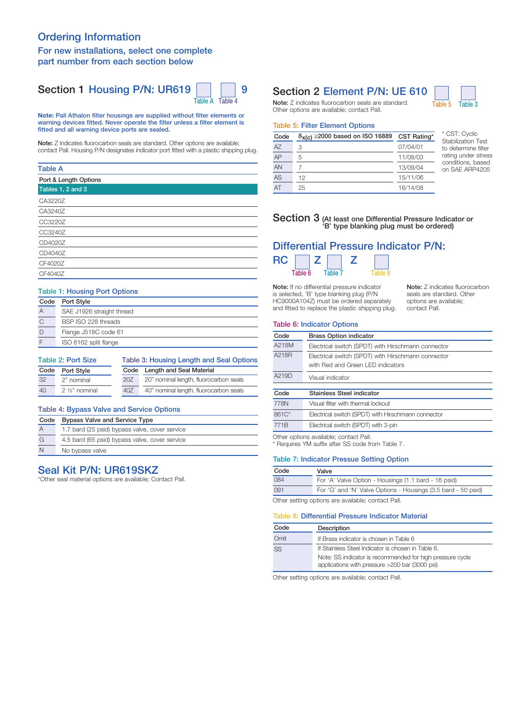# Ordering Information

### For new installations, select one complete part number from each section below

# Section 1 Housing P/N: UR619  $\vert$  | | 9



Note: Pall Athalon filter housings are supplied without filter elements or warning devices fitted. Never operate the filter unless a filter element is fitted and all warning device ports are sealed.

Note: Z indicates fluorocarbon seals are standard. Other options are available; contact Pall. Housing P/N designates indicator port fitted with a plastic shipping plug.

### Table A

| Port & Length Options |  |
|-----------------------|--|
| Tables 1, 2 and 3     |  |
| CA3220Z               |  |
| CA3240Z               |  |
| CC3220Z               |  |
| CC3240Z               |  |
| CD4020Z               |  |
| CD4040Z               |  |
| CF4020Z               |  |
| CF4040Z               |  |
|                       |  |

# Table 1: Housing Port Options

| Code | Port Style                |
|------|---------------------------|
| А    | SAE J1926 straight thread |
|      | BSP ISO 228 threads       |
|      | Flange J518C code 61      |
|      | ISO 6162 split flange     |

| <b>Table 2: Port Size</b> |                             |      | Table 3: Housing Length and Seal Options |  |  |
|---------------------------|-----------------------------|------|------------------------------------------|--|--|
| Code<br><b>Port Style</b> |                             | Code | Length and Seal Material                 |  |  |
| 32                        | 2" nominal                  | 20Z  | 20" nominal length, fluorocarbon seals   |  |  |
| 40                        | 2 1/ <sub>2</sub> " nominal | 40Z  | 40" nominal length, fluorocarbon seals   |  |  |

# Table 4: Bypass Valve and Service Options

| Code | <b>Bypass Valve and Service Type</b>           |  |  |
|------|------------------------------------------------|--|--|
|      | 1.7 bard (25 psid) bypass valve, cover service |  |  |
| G    | 4.5 bard (65 psid) bypass valve, cover service |  |  |
| N    | No bypass valve                                |  |  |

# Seal Kit P/N: UR619SKZ

\*Other seal material options are available; Contact Pall.

# Section 2 Element P/N: UE 610



### Table 5: Filter Element Options

| Code | $\beta_{X(C)} \ge 2000$ based on ISO 16889 | CST Rating* |
|------|--------------------------------------------|-------------|
| AZ   | 3                                          | 07/04/01    |
| AP   | 5                                          | 11/08/03    |
| AN   |                                            | 13/09/04    |
| AS   | 12                                         | 15/11/06    |
| AT   | 25                                         | 16/14/08    |

\* CST: Cyclic Stabilization Test to determine filter rating under stress conditions, based on SAE ARP4205

# Section 3 (At least one Differential Pressure Indicator or 'B' type blanking plug must be ordered)

#### Differential Pressure Indicator P/N:  $RC \Box 7 \Box 7$  $\Gamma$

| Table 6 | Table 7 |  |  |
|---------|---------|--|--|
|         |         |  |  |

Note: If no differential pressure indicator is selected, 'B' type blanking plug (P/N HC9000A104Z) must be ordered separately and fitted to replace the plastic shipping plug.

Note: Z indicates fluorocarbon seals are standard. Other options are available; contact Pall.

#### Table 6: Indicator Options

| Code             | <b>Brass Option indicator</b>                      |  |
|------------------|----------------------------------------------------|--|
| A218M            | Electrical switch (SPDT) with Hirschmann connector |  |
| A218R            | Electrical switch (SPDT) with Hirschmann connector |  |
|                  | with Red and Green LED indicators                  |  |
| A219D            | Visual indicator                                   |  |
|                  |                                                    |  |
| Code             | Stainless Steel indicator                          |  |
| 778N             | Visual filter with thermal lockout                 |  |
| 861C*            | Electrical switch (SPDT) with Hirschmann connector |  |
| 771 <sub>B</sub> | Electrical switch (SPDT) with 3-pin                |  |

Other options available; contact Pall.

\* Requires YM suffix after SS code from Table 7.

### Table 7: Indicator Pressue Setting Option

| Code                                                                 | Valve                                                |  |
|----------------------------------------------------------------------|------------------------------------------------------|--|
| 084                                                                  | For 'A' Valve Option - Housings (1.1 bard - 16 psid) |  |
| For 'G' and 'N' Valve Options - Housings (3.5 bard - 50 psid)<br>091 |                                                      |  |
| Other setting options are available: contact Pall                    |                                                      |  |

Other setting options are available; contact Pall.

### Table 8: Differential Pressure Indicator Material

| Code | Description                                                                                                 |  |
|------|-------------------------------------------------------------------------------------------------------------|--|
| Omit | If Brass indicator is chosen in Table 6                                                                     |  |
| SS   | If Stainless Steel Indicator is chosen in Table 6.                                                          |  |
|      | Note: SS indicator is recommended for high pressure cycle<br>applications with pressure >200 bar (3000 psi) |  |

Other setting options are available; contact Pall.